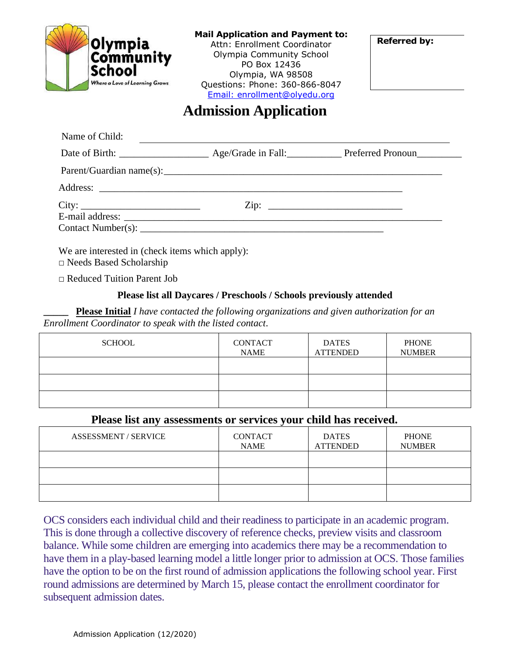

### **Mail Application and Payment to:**

Attn: Enrollment Coordinator Olympia Community School PO Box 12436 Olympia, WA 98508 Questions: Phone: 360-866-8047 [Email: enrollment@olyedu.org](mailto:enrollment@olyedu.org)

**Referred by:**

# **Admission Application**

|       | Address: |                           |
|-------|----------|---------------------------|
| City: |          | $\overline{\text{Zip: }}$ |
|       |          |                           |
|       |          |                           |

We are interested in (check items which apply):

**□** Needs Based Scholarship

 **□** Reduced Tuition Parent Job

## **Please list all Daycares / Preschools / Schools previously attended**

**\_\_\_\_\_ Please Initial** *I have contacted the following organizations and given authorization for an Enrollment Coordinator to speak with the listed contact.*

| <b>SCHOOL</b> | <b>CONTACT</b><br><b>NAME</b> | <b>DATES</b><br><b>ATTENDED</b> | <b>PHONE</b><br><b>NUMBER</b> |
|---------------|-------------------------------|---------------------------------|-------------------------------|
|               |                               |                                 |                               |
|               |                               |                                 |                               |
|               |                               |                                 |                               |

## **Please list any assessments or services your child has received.**

| <b>ASSESSMENT / SERVICE</b> | <b>CONTACT</b><br><b>NAME</b> | <b>DATES</b><br><b>ATTENDED</b> | <b>PHONE</b><br><b>NUMBER</b> |
|-----------------------------|-------------------------------|---------------------------------|-------------------------------|
|                             |                               |                                 |                               |
|                             |                               |                                 |                               |
|                             |                               |                                 |                               |

OCS considers each individual child and their readiness to participate in an academic program. This is done through a collective discovery of reference checks, preview visits and classroom balance. While some children are emerging into academics there may be a recommendation to have them in a play-based learning model a little longer prior to admission at OCS. Those families have the option to be on the first round of admission applications the following school year. First round admissions are determined by March 15, please contact the enrollment coordinator for subsequent admission dates.